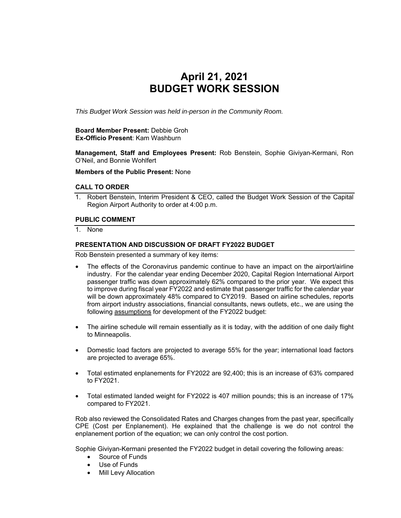# **April 21, 2021 BUDGET WORK SESSION**

*This Budget Work Session was held in-person in the Community Room.* 

#### **Board Member Present:** Debbie Groh **Ex-Officio Present**: Kam Washburn

**Management, Staff and Employees Present:** Rob Benstein, Sophie Giviyan-Kermani, Ron O'Neil, and Bonnie Wohlfert

# **Members of the Public Present:** None

### **CALL TO ORDER**

1. Robert Benstein, Interim President & CEO, called the Budget Work Session of the Capital Region Airport Authority to order at 4:00 p.m.

#### **PUBLIC COMMENT**

1. None

# **PRESENTATION AND DISCUSSION OF DRAFT FY2022 BUDGET**

Rob Benstein presented a summary of key items:

- The effects of the Coronavirus pandemic continue to have an impact on the airport/airline industry. For the calendar year ending December 2020, Capital Region International Airport passenger traffic was down approximately 62% compared to the prior year. We expect this to improve during fiscal year FY2022 and estimate that passenger traffic for the calendar year will be down approximately 48% compared to CY2019. Based on airline schedules, reports from airport industry associations, financial consultants, news outlets, etc., we are using the following assumptions for development of the FY2022 budget:
- The airline schedule will remain essentially as it is today, with the addition of one daily flight to Minneapolis.
- Domestic load factors are projected to average 55% for the year; international load factors are projected to average 65%.
- Total estimated enplanements for FY2022 are 92,400; this is an increase of 63% compared to FY2021.
- Total estimated landed weight for FY2022 is 407 million pounds; this is an increase of 17% compared to FY2021.

Rob also reviewed the Consolidated Rates and Charges changes from the past year, specifically CPE (Cost per Enplanement). He explained that the challenge is we do not control the enplanement portion of the equation; we can only control the cost portion.

Sophie Giviyan-Kermani presented the FY2022 budget in detail covering the following areas:

- Source of Funds
- Use of Funds
- Mill Levy Allocation